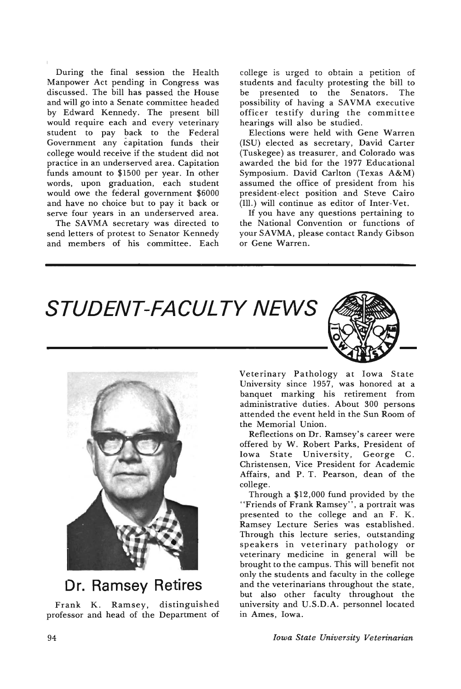During the final session the Health Manpower Act pending in Congress was discussed. The bill has passed the House and will go into a Senate committee headed by Edward Kennedy. The present bill would require each and every veterinary student to pay back to the Federal Government any capitation funds their college would receive if the student did not practice in an underserved area. Capitation funds amount to \$1500 per year. In other words, upon graduation, each student would owe the federal government \$6000 and have no choice but to pay it back or serve four years in an underserved area.

The SAVMA secretary was directed to send letters of protest to Senator Kennedy and members of his committee. Each

college is urged to obtain a petition of students and faculty protesting the bill to be presented to the Senators. The possibility of having a SAVMA executive officer testify during the committee hearings will also be studied.

Elections were held with Gene Warren (ISU) elected as secretary, David Carter (Tuskegee) as treasurer, and Colorado was awarded the bid for the 1977 Educational Symposium. David Carlton (Texas A&M) assumed the office of president from his president-elect position and Steve Cairo (Ill.) will continue as editor of Inter-Vet.

If you have any questions pertaining to the National Convention or functions of your SAVMA, please contact Randy Gibson or Gene Warren.





### **Dr. Ramsey Retires**

Frank K. Ramsey, distinguished professor and head of the Department of Veterinary Pathology at Iowa State University since 1957, was honored at a banquet marking his retirement from administrative duties. About 300 persons attended the event held in the Sun Room of the Memorial Union.

Reflections on Dr. Ramsey's career were offered by W. Robert Parks, President of Iowa State University, George C. Christensen, Vice President for Academic Affairs, and P. T. Pearson, dean of the college.

Through a \$12,000 fund provided by the "Friends of Frank Ramsey", a portrait was presented to the college and an F. K. Ramsey Lecture Series was established. Through this lecture series, outstanding speakers in veterinary pathology or veterinary medicine in general will be brought to the campus. This will benefit not only the students and faculty in the college and the veterinarians throughout the state, but also other faculty throughout the university and U.S.D.A. personnel located in Ames, Iowa.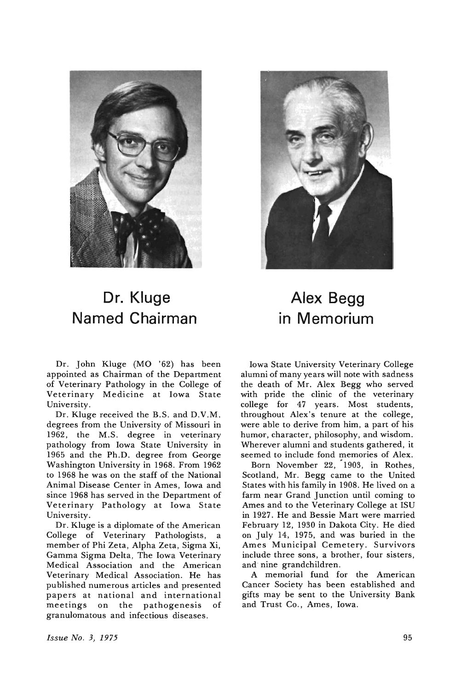

### **Dr. Kluge Named Chairman**

Dr. John Kluge (MO '62) has been appointed as Chairman of the Department of Veterinary Pathology in the College of Veterinary Medicine at Iowa State University.

Dr. Kluge received the B.S. and D.V.M. degrees from the University of Missouri in 1962, the M.S. degree in veterinary pathology from Iowa State University in 1965 and the Ph.D. degree from George Washington University in 1968. From 1962 to 1968 he was on the staff of the National Animal Disease Center in Ames, Iowa and since 1968 has served in the Department of Veterinary Pathology at Iowa State University.

Dr. Kluge is a diplomate of the American College of Veterinary Pathologists, a member of Phi Zeta, Alpha Zeta, Sigma Xi, Gamma Sigma Delta, The Iowa Veterinary Medical Association and the American Veterinary Medical Association. He has published numerous articles and presented papers at national and international meetings on the pathogenesis of granulomatous and infectious diseases.



### **Alex Begg in Memorium**

Iowa State University Veterinary College alumni of many years will note with sadness the death of Mr. Alex Begg who served with pride the clinic of the veterinary college for 47 years. Most students, throughout Alex's tenure at the college, were able to derive from him, a part of his humor, character, philosophy, and wisdom. Wherever alumni and students gathered, it seemed to include fond memories of Alex.

Born November 22, '1903, in Rothes, Scotland, Mr. Begg came to the United States with his family in 1908. He lived on a farm near Grand Junction until coming to Ames and to the Veterinary College at ISU in 1927. He and Bessie Mart were married February 12, 1930 in Dakota City. He died on July 14, 1975, and was buried in the Ames Municipal Cemetery. Survivors include three sons, a brother, four sisters, and" nine grandchildren.

A memorial fund for the American Cancer Society has been established and gifts may be sent to the University Bank and Trust Co., Ames, Iowa.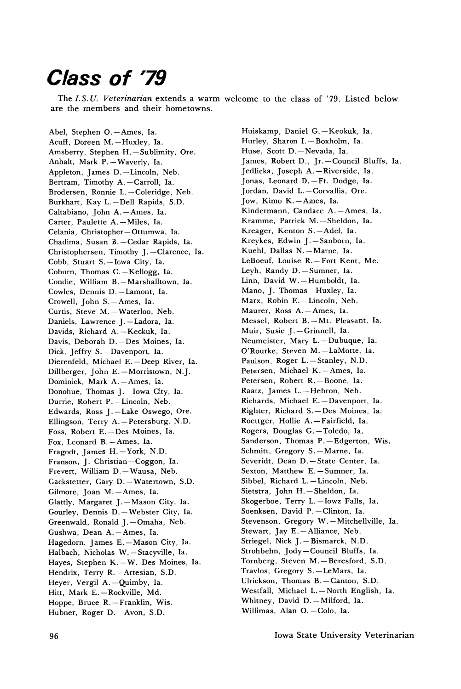### **Class of '79**

The *I.S.U. Veterinarian* extends a warm welcome to the class of '79. Listed below are the members and their hometowns.

Abel, Stephen O. - Ames, Ia. Acuff, Doreen M.-Huxley, Ia. Amsberry, Stephen H.-Sublimity, Ore. Anhalt, Mark P. - Waverly, Ia. Appleton, James D. - Lincoln, Neb. Bertram, Timothy A.-Carroll, Ia. Brodersen, Ronnie L.-Coleridge, Neb. Burkhart, Kay L.-Dell Rapids, S.D. Caltabiano, John A.-Ames, Ia. Carter, Paulette A.-Miles, Ia. Celania, Christopher-Ottumwa, la. Chadima, Susan B.-Cedar Rapids, Ia. Christophersen, Timothy J.-Clarence, Ia. Cobb, Stuart S.-Iowa City, Ia. Coburn, Thomas C. - Kellogg, Ia. Condie, William B.-Marshalltown, Ia. Cowles, Dennis D.-Lamont, Ia. Crowell, John S.-Ames, Ia. Curtis, Steve M. - Waterloo, Neb. Daniels, Lawrence J.-Ladora, Ia. Davids, Richard A. - Keokuk, Ia. Davis, Deborah D.-Des Moines, Ia. Dick, Jeffry S.-Davenport, Ia. Dierenfeld, Michael E.-Deep River, Ia. Dillberger, John E.-Morristown, N.J. Dominick, Mark A.-Ames, Ia. Donohue, Thomas J.-Iowa City, Ia. Durrie, Robert P.-Lincoln, Neb. Edwards, Ross J.-Lake Oswego, Ore. Ellingson, Terry A.-Petersburg, N.D. Foss, Robert E.-Des Moines, Ia. Fox, Leonard B. - Ames, Ia. Fragodt, James H.-York, N.D. Franson, J. Christian-Coggon, la. Frevert, William D. - Wausa, Neb. Gackstetter, Gary D. - Watertown, S.D. Gilmore, Joan M.-Ames, Ia. Glattly, Margaret J.-Mason City, Ia. Gourley, Dennis D. - Webster City, Ia. Greenwald, Ronald J.-Omaha, Neb. Gushwa, Dean A.-Ames, Ia. Hagedorn, James E.-Mason City, Ia. Halbach, Nicholas W. - Stacyville, Ia. Hayes, Stephen K. - W. Des Moines, Ia. Hendrix, Terry R. - Artesian, S.D. Heyer, Vergil A. - Quimby, Ia. Hitt, Mark E. - Rockville, Md. Hoppe, Bruce R. - Franklin, Wis. Hubner, Roger D.-Avon, S.D.

Huiskamp, Daniel G.-Keokuk, Ia. Hurley, Sharon I. - Boxholm, Ia. Huse, Scott D.-Nevada, Ia. James, Robert D., Jr.-Council Bluffs, Ia. Jedlicka, Joseph A. - Riverside, Ia. Jonas, Leonard D.-Ft. Dodge, Ia. Jordan, David L.-Corvallis, Ore. Jow, Kimo K.-Ames, Ia. Kindermann, Candace A.-Ames, Ia. Kramme, Patrick M.-Sheldon, Ia. Kreager, Kenton S.-Adel, Ia. Kreykes, Edwin J.-Sanborn, Ia. Kuehl, Dallas N. - Marne, Ia. LeBoeuf, Louise R.-Fort Kent, Me. Leyh, Randy D.-Sumner, Ia. Linn, David W.-Humboldt, Ia. Mano, J. Thomas-Huxley, la. Marx, Robin E.-Lincoln, Neb. Maurer, Ross A.-Ames, Ia. Messel, Robert B.-Mt. Pleasant, Ia. Muir, Susie J.-Grinnell, Ia. Neumeister, Mary L.-Dubuque, Ia. O'Rourke, Steven M.-LaMotte, Ia. Paulson, Roger L.-Stanley, N.D. Petersen, Michael K.-Ames, Ia. Petersen, Robert R.-Boone, Ia. Raatz, James L. - Hebron, Neb. Richards, Michael E.-Davenport, Ia. Righter, Richard S.-Des Moines, Ia. Roettger, Hollie A.-Fairfield, Ia. Rogers, Douglas G.-Toledo, Ia. Sanderson, Thomas P.-Edgerton, Wis. Schmitt, Gregory S.-Marne, Ia. Severidt, Dean D.-State Center, Ia. Sexton, Matthew E. - Sumner, Ia. Sibbel, Richard L.-Lincoln, Neb. Sietstra, John H.-Sheldon, Ia. Skogerboe, Terry L,-Iowz Falls, Ia. Soenksen, David P.-Clinton, Ia. Stevenson, Gregory W. - Mitchellville, Ia. Stewart, Jay E.-Alliance, Neb. Striegel, Nick J. - Bismarck, N.D. Strohbehn, Jody-Council Bluffs, la. Tornberg, Steven M.-Beresford, S.D. Travlos, Gregory S.-LeMars, Ia. Ulrickson, Thomas B.-Canton, S.D. Westfall, Michael L. - North English, Ia. Whitney, David D.-Milford, Ia. Willimas, Alan O.-Colo, Ia.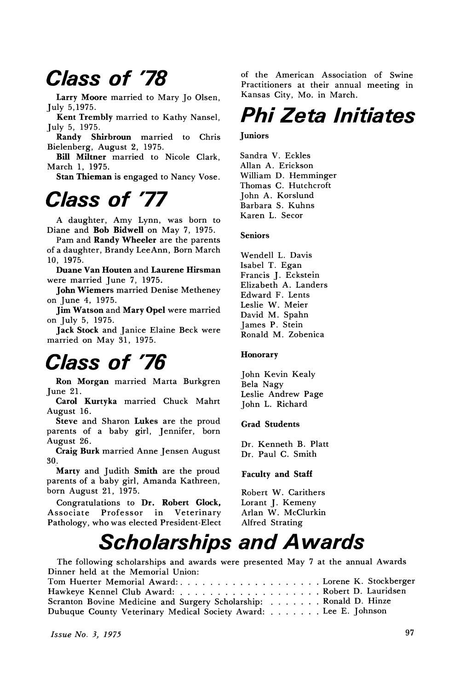### Class of '78

Larry Moore married to Mary Jo Olsen, July 5,1975.

Kent Trembly married to Kathy Nansel, July 5, 1975.

Randy Shirbroun married to Chris Bielenberg, August 2, 1975.

Bill Miltner married to Nicole Clark, March 1, 1975.

Stan Thieman is engaged to Nancy Vose.

## Class of '77

A daughter, Amy Lynn, was born to Diane and Bob Bidwell on May 7, 1975.

Pam and Randy Wheeler are the parents of a daughter, Brandy LeeAnn, Born March 10, 1975.

Duane Van Houten and Laurene Hirsman were married June 7, 1975.

John Wiemers married Denise Metheney on June 4, 1975.

Jim Watson and Mary Opel were married on July 5, 1975.

Jack Stock and Janice Elaine Beck were married on May 31, 1975.

### Class of '76

Ron Morgan married Marta Burkgren June 21.

Carol Kurtyka married Chuck Mahrt August 16.

Steve and Sharon Lukes are the proud parents of a baby girl, Jennifer, born August 26.

Craig Burk married Anne Jensen August 30,.

Marty and Judith Smith are the proud parents of a baby girl, Amanda Kathreen, born August 21, 1975.

Congratulations to Dr. Robert Glock,<br>ssociate Professor in Veterinary Associate Professor Pathology, who was elected President-Elect of the American Association of Swine Practitioners at their annual meeting in Kansas City, Mo. in March.

## Phi Zeta Initiates

#### **Juniors**

Sandra V. Eckles Allan A. Erickson William D. Hemminger Thomas C. Hutchcroft John A. Korslund Barbara S. Kuhns Karen L. Secor

#### Seniors

Wendell L. Davis Isabel T. Egan Francis ]. Eckstein Elizabeth A. Landers Edward F. Lents Leslie W. Meier David M. Spahn James P. Stein Ronald M. Zobenica

#### Honorary

John Kevin Kealy Bela Nagy Leslie Andrew Page John L. Richard

#### Grad Students

Dr. Kenneth B. Platt Dr. Paul C. Smith

#### Faculty and Staff

Robert W. Carithers Lorant ]. Kemeny Arlan W. McClurkin Alfred Strating

### **Scholarships and Awards**

The following scholarships and awards were presented May 7 at the annual Awards Dinner held at the Memorial Union:

| Tom Huerter Memorial Award: Lorene K. Stockberger                 |  |
|-------------------------------------------------------------------|--|
|                                                                   |  |
| Scranton Bovine Medicine and Surgery Scholarship: Ronald D. Hinze |  |
| Dubuque County Veterinary Medical Society Award: Lee E. Johnson   |  |